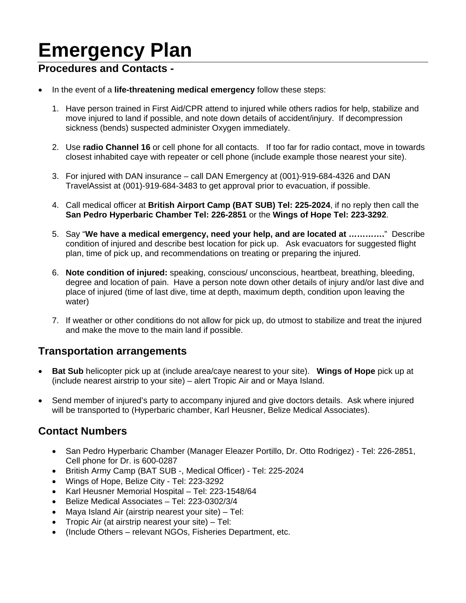# **Emergency Plan**

### **Procedures and Contacts -**

- In the event of a **life-threatening medical emergency** follow these steps:
	- 1. Have person trained in First Aid/CPR attend to injured while others radios for help, stabilize and move injured to land if possible, and note down details of accident/injury. If decompression sickness (bends) suspected administer Oxygen immediately.
	- 2. Use **radio Channel 16** or cell phone for all contacts. If too far for radio contact, move in towards closest inhabited caye with repeater or cell phone (include example those nearest your site).
	- 3. For injured with DAN insurance call DAN Emergency at (001)-919-684-4326 and DAN TravelAssist at (001)-919-684-3483 to get approval prior to evacuation, if possible.
	- 4. Call medical officer at **British Airport Camp (BAT SUB) Tel: 225-2024**, if no reply then call the **San Pedro Hyperbaric Chamber Tel: 226-2851** or the **Wings of Hope Tel: 223-3292**.
	- 5. Say "**We have a medical emergency, need your help, and are located at ………….**" Describe condition of injured and describe best location for pick up. Ask evacuators for suggested flight plan, time of pick up, and recommendations on treating or preparing the injured.
	- 6. **Note condition of injured:** speaking, conscious/ unconscious, heartbeat, breathing, bleeding, degree and location of pain. Have a person note down other details of injury and/or last dive and place of injured (time of last dive, time at depth, maximum depth, condition upon leaving the water)
	- 7. If weather or other conditions do not allow for pick up, do utmost to stabilize and treat the injured and make the move to the main land if possible.

#### **Transportation arrangements**

- **Bat Sub** helicopter pick up at (include area/caye nearest to your site). **Wings of Hope** pick up at (include nearest airstrip to your site) – alert Tropic Air and or Maya Island.
- Send member of injured's party to accompany injured and give doctors details. Ask where injured will be transported to (Hyperbaric chamber, Karl Heusner, Belize Medical Associates).

## **Contact Numbers**

- San Pedro Hyperbaric Chamber (Manager Eleazer Portillo, Dr. Otto Rodrigez) Tel: 226-2851, Cell phone for Dr. is 600-0287
- British Army Camp (BAT SUB -, Medical Officer) Tel: 225-2024
- Wings of Hope, Belize City Tel: 223-3292
- Karl Heusner Memorial Hospital Tel: 223-1548/64
- Belize Medical Associates Tel: 223-0302/3/4
- Maya Island Air (airstrip nearest your site) Tel:
- Tropic Air (at airstrip nearest your site) Tel:
- (Include Others relevant NGOs, Fisheries Department, etc.